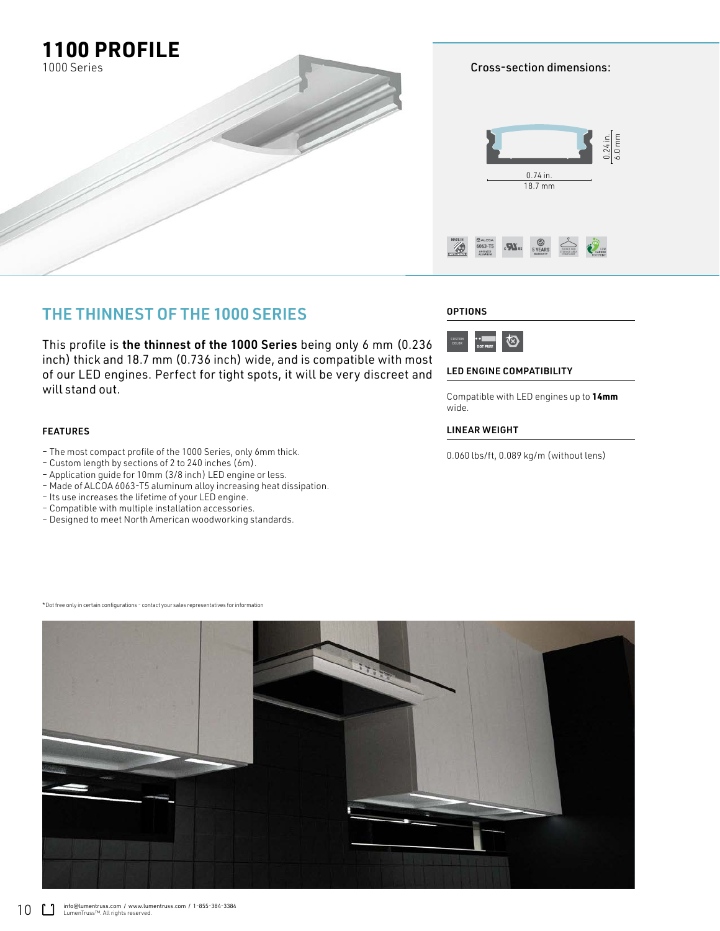

Cross-section dimensions:



# THE THINNEST OF THE 1000 SERIES

This profile is the thinnest of the 1000 Series being only 6 mm (0.236 inch) thick and 18.7 mm (0.736 inch) wide, and is compatible with most of our LED engines. Perfect for tight spots, it will be very discreet and will stand out.

### FEATURES

- The most compact profile of the 1000 Series, only 6mm thick.
- Custom length by sections of 2 to 240 inches (6m).
- Application guide for 10mm (3/8 inch) LED engine or less.
- Made of ALCOA 6063-T5 aluminum alloy increasing heat dissipation.
- Its use increases the lifetime of your LED engine.
- Compatible with multiple installation accessories.
- Designed to meet North American woodworking standards.

## **OPTIONS**



### LED ENGINE COMPATIBILITY

Compatible with LED engines up to **14mm** wide.

## LINEAR WEIGHT

0.060 lbs/ft, 0.089 kg/m (without lens)

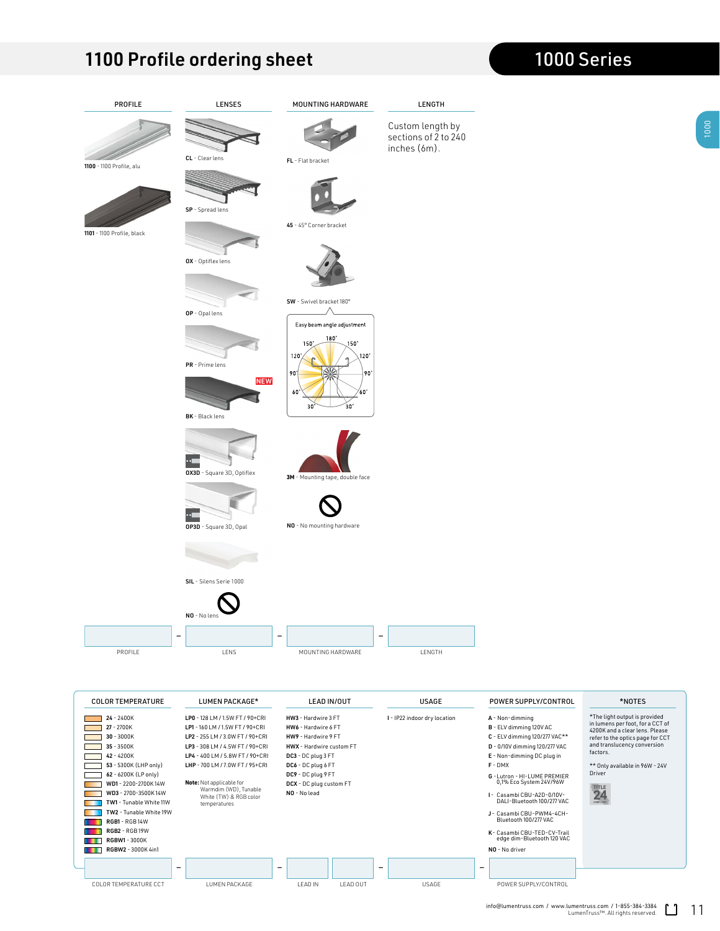|                                                                                                      | TIOUT LUIKE ULUELING SIIEER                                                                                                                                                                   |                                                                                                                                               |                                                          |                                                                                                                                                                    | 1000 JEHEJ                                                                                                                                                                         |
|------------------------------------------------------------------------------------------------------|-----------------------------------------------------------------------------------------------------------------------------------------------------------------------------------------------|-----------------------------------------------------------------------------------------------------------------------------------------------|----------------------------------------------------------|--------------------------------------------------------------------------------------------------------------------------------------------------------------------|------------------------------------------------------------------------------------------------------------------------------------------------------------------------------------|
| PROFILE                                                                                              | LENSES                                                                                                                                                                                        | MOUNTING HARDWARE                                                                                                                             | LENGTH                                                   |                                                                                                                                                                    |                                                                                                                                                                                    |
|                                                                                                      |                                                                                                                                                                                               |                                                                                                                                               | Custom length by<br>sections of 2 to 240<br>inches (6m). |                                                                                                                                                                    |                                                                                                                                                                                    |
| 1100 - 1100 Profile, alu                                                                             | $CL - Clear lens$                                                                                                                                                                             | FL - Flat bracket                                                                                                                             |                                                          |                                                                                                                                                                    |                                                                                                                                                                                    |
|                                                                                                      | SP - Spread lens                                                                                                                                                                              |                                                                                                                                               |                                                          |                                                                                                                                                                    |                                                                                                                                                                                    |
| 1101 - 1100 Profile, black                                                                           |                                                                                                                                                                                               | 45 - 45° Corner bracket                                                                                                                       |                                                          |                                                                                                                                                                    |                                                                                                                                                                                    |
|                                                                                                      | OX - Optiflex lens                                                                                                                                                                            |                                                                                                                                               |                                                          |                                                                                                                                                                    |                                                                                                                                                                                    |
|                                                                                                      | OP - Opal lens                                                                                                                                                                                | SW - Swivel bracket 180°                                                                                                                      |                                                          |                                                                                                                                                                    |                                                                                                                                                                                    |
|                                                                                                      | PR - Prime lens<br><b>NEW</b><br>BK - Black lens                                                                                                                                              | Easy beam angle adjustment<br>$180^\circ$<br>$150^\circ$<br>$150^\circ$<br>120'<br>$120^\circ$<br>$90^\circ$<br>90°<br>60°<br>60<br>30°<br>30 |                                                          |                                                                                                                                                                    |                                                                                                                                                                                    |
|                                                                                                      | OX3D - Square 3D, Optiflex                                                                                                                                                                    | 3M - Mounting tape, double face                                                                                                               |                                                          |                                                                                                                                                                    |                                                                                                                                                                                    |
|                                                                                                      | OP3D - Square 3D, Opal                                                                                                                                                                        | NO - No mounting hardware                                                                                                                     |                                                          |                                                                                                                                                                    |                                                                                                                                                                                    |
|                                                                                                      |                                                                                                                                                                                               |                                                                                                                                               |                                                          |                                                                                                                                                                    |                                                                                                                                                                                    |
|                                                                                                      | SIL - Silens Serie 1000                                                                                                                                                                       |                                                                                                                                               |                                                          |                                                                                                                                                                    |                                                                                                                                                                                    |
|                                                                                                      | NO - No lens                                                                                                                                                                                  |                                                                                                                                               |                                                          |                                                                                                                                                                    |                                                                                                                                                                                    |
|                                                                                                      | ۰                                                                                                                                                                                             | $\overline{\phantom{a}}$                                                                                                                      | $\overline{\phantom{0}}$                                 |                                                                                                                                                                    |                                                                                                                                                                                    |
| PROFILE                                                                                              | LENS                                                                                                                                                                                          | MOUNTING HARDWARE                                                                                                                             | LENGTH                                                   |                                                                                                                                                                    |                                                                                                                                                                                    |
|                                                                                                      |                                                                                                                                                                                               |                                                                                                                                               | <b>USAGE</b>                                             |                                                                                                                                                                    | *NOTES                                                                                                                                                                             |
| <b>COLOR TEMPERATURE</b><br>$24 - 2400K$<br>27 - 2700K<br>$30 - 3000K$<br>$35 - 3500K$<br>42 - 4200K | LUMEN PACKAGE*<br>LP0 - 128 LM / 1.5W FT / 90+CRI<br>LP1 - 160 LM / 1.5W FT / 90+CRI<br>LP2 - 255 LM / 3.0W FT / 90+CRI<br>LP3 - 308 LM / 4.5W FT / 90+CRI<br>LP4 - 400 LM / 5.8W FT / 90+CRI | LEAD IN/OUT<br>HW3 - Hardwire 3 FT<br>HW6 - Hardwire 6 FT<br>HW9 - Hardwire 9 FT<br>HWX - Hardwire custom FT<br>DC3 - DC plug 3 FT            | I - IP22 indoor dry location                             | POWER SUPPLY/CONTROL<br>A - Non-dimming<br>B - ELV dimming 120V AC<br>C - ELV dimming 120/277 VAC**<br>D - 0/10V dimming 120/277 VAC<br>E - Non-dimming DC plug in | *The light output is provided<br>in lumens per foot, for a CCT of<br>4200K and a clear lens. Please<br>refer to the optics page for CCT<br>and translucency conversion<br>factors. |
| 53 - 5300K (LHP only)<br>62 - 6200K (LP only)<br>WD1 - 2200-2700K14W                                 | LHP - 700 LM / 7.0W FT / 95+CRI<br>Note: Not applicable for                                                                                                                                   | DC6 - DC plug 6 FT<br>DC9 - DC plug 9 FT<br>DCX - DC plug custom FT                                                                           |                                                          | $F - DMX$<br>G - Lutron - HI-LUME PREMIER<br>0,1% Eco System 24V/96W                                                                                               | ** Only available in 96W - 24V<br>Driver<br><b>ETIMOR</b>                                                                                                                          |

– –– –

RGBW2 - 3000K 4in1 NO - No driver

Г

WD1 - 2200-2700K 14W **Note:** Not applicable for 0,1% Eco System 24V/96W Warmdim (WD), Tunable White (TW) & RGB color temperatures WD3 - 2700-3500K 14W NO - No lead I- Casambi CBU-A2D-0/10V-TW1 - Tunable White 11W DALI-Bluetooth 100/277 VAC DCX - DC plug custom FT

TW2 - Tunable White 19W J- Casambi CBU-PWM4-4CH-RGB1 - RGB 14W Bluetooth 100/277 VAC RGB2 - RGB 19W K- Casambi CBU-TED-CV-Trail RGBW1 - 3000K edge dim-Bluetooth 120 VAC

# 1100 Profile ordering sheet 1000 Series

COLOR TEMPERATURE CCT LUMEN PACKAGE LEAD IN LEAD OUT USAGE POWER SUPPLY/CONTROL

 $\frac{m}{24}$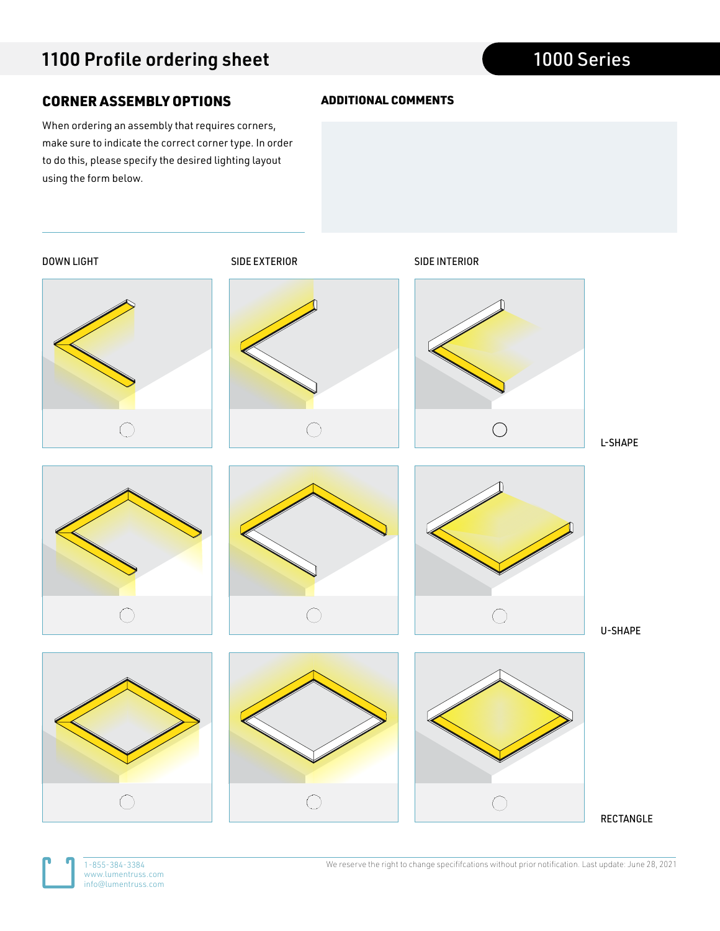# CORNER ASSEMBLY OPTIONS

When ordering an assembly that requires corners, make sure to indicate the correct corner type. In order to do this, please specify the desired lighting layout using the form below.



ADDITIONAL COMMENTS